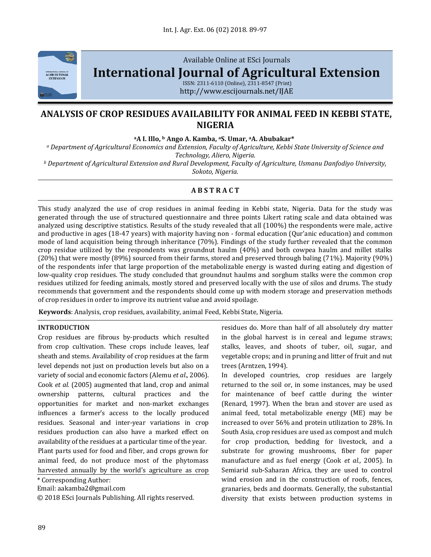

Available Online at ESci Journals **[International Journal of Agricultural Extension](http://www.escijournals.net/IJER)**

ISSN: 2311-6110 (Online), 2311-8547 (Print) http://www.escijournals.net/IJAE

# **ANALYSIS OF CROP RESIDUES AVAILABILITY FOR ANIMAL FEED IN KEBBI STATE, NIGERIA**

**<sup>a</sup>A I. Illo, <sup>b</sup> Ango A. Kamba, <sup>a</sup>S. Umar, aA. Abubakar\***

*<sup>a</sup> Department of Agricultural Economics and Extension, Faculty of Agriculture, Kebbi State University of Science and Technology, Aliero, Nigeria.*

*<sup>b</sup> Department of Agricultural Extension and Rural Development, Faculty of Agriculture, Usmanu Danfodiyo University, Sokoto, Nigeria.*

## **A B S T R A C T**

This study analyzed the use of crop residues in animal feeding in Kebbi state, Nigeria. Data for the study was generated through the use of structured questionnaire and three points Likert rating scale and data obtained was analyzed using descriptive statistics. Results of the study revealed that all (100%) the respondents were male, active and productive in ages (18-47 years) with majority having non - formal education (Qur'anic education) and common mode of land acquisition being through inheritance (70%). Findings of the study further revealed that the common crop residue utilized by the respondents was groundnut haulm (40%) and both cowpea haulm and millet stalks (20%) that were mostly (89%) sourced from their farms, stored and preserved through baling (71%). Majority (90%) of the respondents infer that large proportion of the metabolizable energy is wasted during eating and digestion of low-quality crop residues. The study concluded that groundnut haulms and sorghum stalks were the common crop residues utilized for feeding animals, mostly stored and preserved locally with the use of silos and drums. The study recommends that government and the respondents should come up with modern storage and preservation methods of crop residues in order to improve its nutrient value and avoid spoilage.

**Keywords**: Analysis, crop residues, availability, animal Feed, Kebbi State, Nigeria.

### **INTRODUCTION**

Crop residues are fibrous by-products which resulted from crop cultivation. These crops include leaves, leaf sheath and stems. Availability of crop residues at the farm level depends not just on production levels but also on a variety of social and economic factors (Alemu *et al*., 2006). Cook *et al.* (2005) augmented that land, crop and animal ownership patterns, cultural practices and the opportunities for market and non-market exchanges influences a farmer's access to the locally produced residues. Seasonal and inter-year variations in crop residues production can also have a marked effect on availability of the residues at a particular time of the year. Plant parts used for food and fiber, and crops grown for animal feed, do not produce most of the phytomass harvested annually by the world's agriculture as crop

\* Corresponding Author:

Email: aakamba2@gmail.com

© 2018 ESci Journals Publishing. All rights reserved.

residues do. More than half of all absolutely dry matter in the global harvest is in cereal and legume straws; stalks, leaves, and shoots of tuber, oil, sugar, and vegetable crops; and in pruning and litter of fruit and nut trees (Arntzen, 1994).

In developed countries, crop residues are largely returned to the soil or, in some instances, may be used for maintenance of beef cattle during the winter (Renard, 1997). When the bran and stover are used as animal feed, total metabolizable energy (ME) may be increased to over 56% and protein utilization to 28%. In South Asia, crop residues are used as compost and mulch for crop production, bedding for livestock, and a substrate for growing mushrooms, fiber for paper manufacture and as fuel energy (Cook *et al.,* 2005). In Semiarid sub-Saharan Africa, they are used to control wind erosion and in the construction of roofs, fences, granaries, beds and doormats. Generally, the substantial diversity that exists between production systems in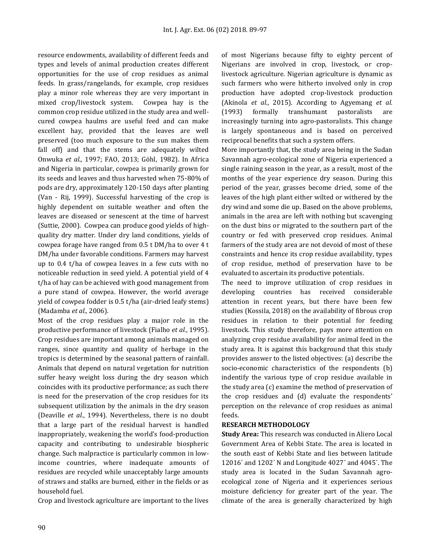resource endowments, availability of different feeds and types and levels of animal production creates different opportunities for the use of crop residues as animal feeds. In grass/rangelands, for example, crop residues play a minor role whereas they are very important in mixed crop/livestock system. Cowpea hay is the common crop residue utilized in the study area and wellcured cowpea haulms are useful feed and can make excellent hay, provided that the leaves are well preserved (too much exposure to the sun makes them fall off) and that the stems are adequately wilted Onwuka *et al*., 1997; FAO, 2013; Göhl, 1982). In Africa and Nigeria in particular, cowpea is primarily grown for its seeds and leaves and thus harvested when 75-80% of pods are dry, approximately 120-150 days after planting (Van - Rij, 1999). Successful harvesting of the crop is highly dependent on suitable weather and often the leaves are diseased or senescent at the time of harvest (Suttie, 2000). Cowpea can produce good yields of highquality dry matter. Under dry land conditions, yields of cowpea forage have ranged from 0.5 t DM/ha to over 4 t DM/ha under favorable conditions. Farmers may harvest up to 0.4 t/ha of cowpea leaves in a few cuts with no noticeable reduction in seed yield. A potential yield of 4 t/ha of hay can be achieved with good management from a pure stand of cowpea. However, the world average yield of cowpea fodder is 0.5 t/ha (air-dried leafy stems) (Madamba *et al.,* 2006).

Most of the crop residues play a major role in the productive performance of livestock (Fialho *et al.*, 1995). Crop residues are important among animals managed on ranges, since quantity and quality of herbage in the tropics is determined by the seasonal pattern of rainfall. Animals that depend on natural vegetation for nutrition suffer heavy weight loss during the dry season which coincides with its productive performance; as such there is need for the preservation of the crop residues for its subsequent utilization by the animals in the dry season (Deaville *et al.*, 1994). Nevertheless, there is no doubt that a large part of the residual harvest is handled inappropriately, weakening the world's food-production capacity and contributing to undesirable biospheric change. Such malpractice is particularly common in lowincome countries, where inadequate amounts of residues are recycled while unacceptably large amounts of straws and stalks are burned, either in the fields or as household fuel.

Crop and livestock agriculture are important to the lives

of most Nigerians because fifty to eighty percent of Nigerians are involved in crop, livestock, or croplivestock agriculture. Nigerian agriculture is dynamic as such farmers who were hitherto involved only in crop production have adopted crop-livestock production (Akinola *et al.*, 2015). According to Agyemang *et al.* (1993) formally transhumant pastoralists are increasingly turning into agro-pastoralists. This change is largely spontaneous and is based on perceived reciprocal benefits that such a system offers.

More importantly that, the study area being in the Sudan Savannah agro-ecological zone of Nigeria experienced a single raining season in the year, as a result, most of the months of the year experience dry season. During this period of the year, grasses become dried, some of the leaves of the high plant either wilted or withered by the dry wind and some die up. Based on the above problems, animals in the area are left with nothing but scavenging on the dust bins or migrated to the southern part of the country or fed with preserved crop residues. Animal farmers of the study area are not devoid of most of these constraints and hence its crop residue availability, types of crop residue, method of preservation have to be evaluated to ascertain its productive potentials.

The need to improve utilization of crop residues in developing countries has received considerable attention in recent years, but there have been few studies (Kossila, 2018) on the availability of fibrous crop residues in relation to their potential for feeding livestock. This study therefore, pays more attention on analyzing crop residue availability for animal feed in the study area. It is against this background that this study provides answer to the listed objectives: (a) describe the socio-economic characteristics of the respondents (b) indentify the various type of crop residue available in the study area (c) examine the method of preservation of the crop residues and (d) evaluate the respondents' perception on the relevance of crop residues as animal feeds.

### **RESEARCH METHODOLOGY**

**Study Area:** This research was conducted in Aliero Local Government Area of Kebbi State. The area is located in the south east of Kebbi State and lies between latitude 12016´ and 1202´ N and Longitude 4027´ and 4045´. The study area is located in the Sudan Savannah agroecological zone of Nigeria and it experiences serious moisture deficiency for greater part of the year. The climate of the area is generally characterized by high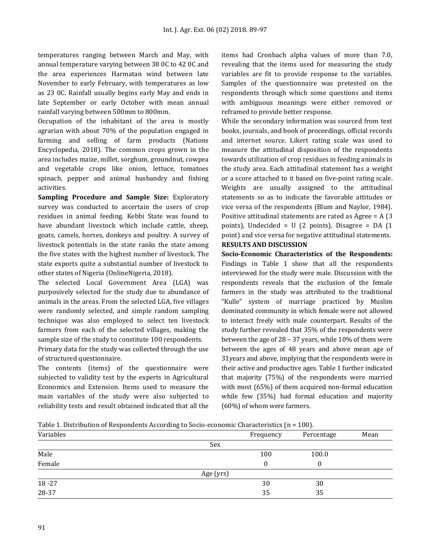temperatures ranging between March and May, with annual temperature varying between 38 0C to 42 0C and the area experiences Harmatan wind between late November to early February, with temperatures as low as 23 0C. Rainfall usually begins early May and ends in late September or early October with mean annual rainfall varying between 500mm to 800mm.

Occupation of the inhabitant of the area is mostly agrarian with about 70% of the population engaged in farming and selling of farm products (Nations Encyclopedia, 2018). The common crops grown in the area includes maize, millet, sorghum, groundnut, cowpea and vegetable crops like onion, lettuce, tomatoes spinach, pepper and animal husbandry and fishing activities.

**Sampling Procedure and Sample Size:** Exploratory survey was conducted to ascertain the users of crop residues in animal feeding. Kebbi State was found to have abundant livestock which include cattle, sheep, goats, camels, horses, donkeys and poultry. A survey of livestock potentials in the state ranks the state among the five states with the highest number of livestock. The state exports quite a substantial number of livestock to other states of Nigeria (OnlineNigeria, 2018).

The selected Local Government Area (LGA) was purposively selected for the study due to abundance of animals in the areas. From the selected LGA, five villages were randomly selected, and simple random sampling technique was also employed to select ten livestock farmers from each of the selected villages, making the sample size of the study to constitute 100 respondents.

Primary data for the study was collected through the use of structured questionnaire.

The contents (items) of the questionnaire were subjected to validity test by the experts in Agricultural Economics and Extension. Items used to measure the main variables of the study were also subjected to reliability tests and result obtained indicated that all the items had Cronbach alpha values of more than 7.0, revealing that the items used for measuring the study variables are fit to provide response to the variables. Samples of the questionnaire was pretested on the respondents through which some questions and items with ambiguous meanings were either removed or reframed to provide better response.

While the secondary information was sourced from text books, journals, and book of proceedings, official records and internet source. Likert rating scale was used to measure the attitudinal disposition of the respondents towards utilization of crop residues in feeding animals in the study area. Each attitudinal statement has a weight or a score attached to it based on five-point rating scale. Weights are usually assigned to the attitudinal statements so as to indicate the favorable attitudes or vice versa of the respondents (Blum and Naylor, 1984). Positive attitudinal statements are rated as Agree = A (3 points), Undecided =  $U(2 \text{ points})$ , Disagree = DA  $(1 \text{ points})$ point) and vice versa for negative attitudinal statements. **RESULTS AND DISCUSSION**

**Socio-Economic Characteristics of the Respondents:** Findings in Table 1 show that all the respondents interviewed for the study were male. Discussion with the respondents reveals that the exclusion of the female farmers in the study was attributed to the traditional "Kulle" system of marriage practiced by Muslim dominated community in which female were not allowed to interact freely with male counterpart. Results of the study further revealed that 35% of the respondents were between the age of 28 – 37 years, while 10% of them were between the ages of 48 years and above mean age of 31years and above, implying that the respondents were in their active and productive ages. Table 1 further indicated that majority (75%) of the respondents were married with most (65%) of them acquired non-formal education while few (35%) had formal education and majority (60%) of whom were farmers.

Table 1. Distribution of Respondents According to Socio-economic Characteristics (n = 100).

| Variables |           | Frequency | Percentage | Mean |
|-----------|-----------|-----------|------------|------|
|           | Sex       |           |            |      |
| Male      |           | 100       | 100.0      |      |
| Female    |           | 0         |            |      |
|           | Age (yrs) |           |            |      |
| $18 - 27$ |           | 30        | 30         |      |
| 28-37     |           | 35        | 35         |      |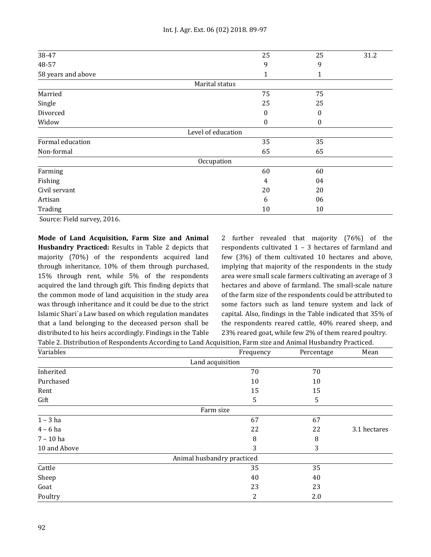| 38-47              | 25                 | 25 | 31.2 |
|--------------------|--------------------|----|------|
| 48-57              | 9                  | 9  |      |
| 58 years and above | 1                  |    |      |
|                    | Marital status     |    |      |
| Married            | 75                 | 75 |      |
| Single             | 25                 | 25 |      |
| Divorced           | 0                  | 0  |      |
| Widow              | $\boldsymbol{0}$   | 0  |      |
|                    | Level of education |    |      |
| Formal education   | 35                 | 35 |      |
| Non-formal         | 65                 | 65 |      |
|                    | Occupation         |    |      |
| Farming            | 60                 | 60 |      |
| Fishing            | 4                  | 04 |      |
| Civil servant      | 20                 | 20 |      |
| Artisan            | 6                  | 06 |      |
| Trading            | 10                 | 10 |      |

Source: Field survey, 2016.

**Mode of Land Acquisition, Farm Size and Animal Husbandry Practiced:** Results in Table 2 depicts that majority (70%) of the respondents acquired land through inheritance, 10% of them through purchased, 15% through rent, while 5% of the respondents acquired the land through gift. This finding depicts that the common mode of land acquisition in the study area was through inheritance and it could be due to the strict Islamic Shari´a Law based on which regulation mandates that a land belonging to the deceased person shall be distributed to his heirs accordingly. Findings in the Table 2 further revealed that majority (76%) of the respondents cultivated 1 – 3 hectares of farmland and few (3%) of them cultivated 10 hectares and above, implying that majority of the respondents in the study area were small scale farmers cultivating an average of 3 hectares and above of farmland. The small-scale nature of the farm size of the respondents could be attributed to some factors such as land tenure system and lack of capital. Also, findings in the Table indicated that 35% of the respondents reared cattle, 40% reared sheep, and 23% reared goat, while few 2% of them reared poultry.

Table 2. Distribution of Respondents According to Land Acquisition, Farm size and Animal Husbandry Practiced.

| Variables    | Frequency                  | Mean<br>Percentage |              |
|--------------|----------------------------|--------------------|--------------|
|              | Land acquisition           |                    |              |
| Inherited    | 70                         | 70                 |              |
| Purchased    | 10                         | 10                 |              |
| Rent         | 15                         | 15                 |              |
| Gift         | 5                          | 5                  |              |
|              | Farm size                  |                    |              |
| $1 - 3$ ha   | 67                         | 67                 |              |
| $4 - 6$ ha   | 22                         | 22                 | 3.1 hectares |
| $7 - 10$ ha  | 8                          | 8                  |              |
| 10 and Above | 3                          | 3                  |              |
|              | Animal husbandry practiced |                    |              |
| Cattle       | 35                         | 35                 |              |
| Sheep        | 40                         | 40                 |              |
| Goat         | 23                         | 23                 |              |
| Poultry      | 2                          | 2.0                |              |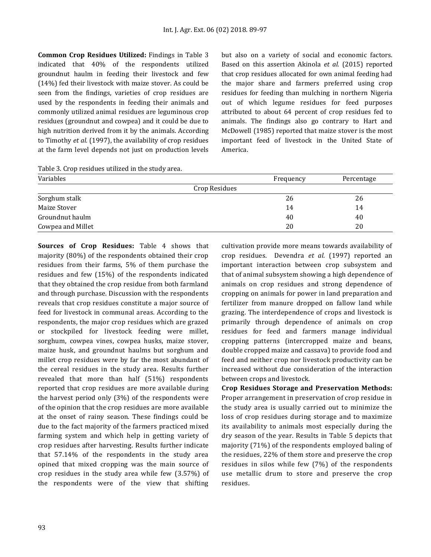**Common Crop Residues Utilized:** Findings in Table 3 indicated that 40% of the respondents utilized groundnut haulm in feeding their livestock and few (14%) fed their livestock with maize stover. As could be seen from the findings, varieties of crop residues are used by the respondents in feeding their animals and commonly utilized animal residues are leguminous crop residues (groundnut and cowpea) and it could be due to high nutrition derived from it by the animals. According to Timothy *et al.* (1997), the availability of crop residues at the farm level depends not just on production levels but also on a variety of social and economic factors. Based on this assertion Akinola *et al.* (2015) reported that crop residues allocated for own animal feeding had the major share and farmers preferred using crop residues for feeding than mulching in northern Nigeria out of which legume residues for feed purposes attributed to about 64 percent of crop residues fed to animals. The findings also go contrary to Hart and McDowell (1985) reported that maize stover is the most important feed of livestock in the United State of America.

Table 3. Crop residues utilized in the study area.

| Variables         | Frequency     | Percentage |
|-------------------|---------------|------------|
|                   | Crop Residues |            |
| Sorghum stalk     | 26            | 26         |
| Maize Stover      | 14            | 14         |
| Groundnut haulm   | 40            | 40         |
| Cowpea and Millet | 20            | 20         |

**Sources of Crop Residues:** Table 4 shows that majority (80%) of the respondents obtained their crop residues from their farms, 5% of them purchase the residues and few (15%) of the respondents indicated that they obtained the crop residue from both farmland and through purchase. Discussion with the respondents reveals that crop residues constitute a major source of feed for livestock in communal areas. According to the respondents, the major crop residues which are grazed or stockpiled for livestock feeding were millet, sorghum, cowpea vines, cowpea husks, maize stover, maize husk, and groundnut haulms but sorghum and millet crop residues were by far the most abundant of the cereal residues in the study area. Results further revealed that more than half (51%) respondents reported that crop residues are more available during the harvest period only (3%) of the respondents were of the opinion that the crop residues are more available at the onset of rainy season. These findings could be due to the fact majority of the farmers practiced mixed farming system and which help in getting variety of crop residues after harvesting. Results further indicate that 57.14% of the respondents in the study area opined that mixed cropping was the main source of crop residues in the study area while few (3.57%) of the respondents were of the view that shifting

cultivation provide more means towards availability of crop residues. Devendra *et al.* (1997) reported an important interaction between crop subsystem and that of animal subsystem showing a high dependence of animals on crop residues and strong dependence of cropping on animals for power in land preparation and fertilizer from manure dropped on fallow land while grazing. The interdependence of crops and livestock is primarily through dependence of animals on crop residues for feed and farmers manage individual cropping patterns (intercropped maize and beans, double cropped maize and cassava) to provide food and feed and neither crop nor livestock productivity can be increased without due consideration of the interaction between crops and livestock.

**Crop Residues Storage and Preservation Methods:** Proper arrangement in preservation of crop residue in the study area is usually carried out to minimize the loss of crop residues during storage and to maximize its availability to animals most especially during the dry season of the year. Results in Table 5 depicts that majority (71%) of the respondents employed baling of the residues, 22% of them store and preserve the crop residues in silos while few (7%) of the respondents use metallic drum to store and preserve the crop residues.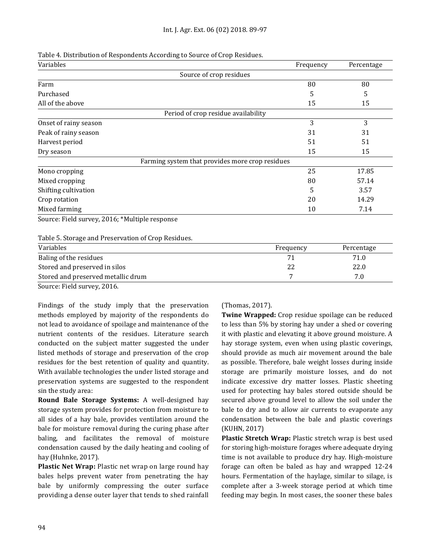| Table 4. Distribution of Respondents According to Source of Crop Residues. |  |
|----------------------------------------------------------------------------|--|
|                                                                            |  |

| Source of crop residues<br>Farm<br>Purchased    | 80 | 80    |
|-------------------------------------------------|----|-------|
|                                                 |    |       |
|                                                 |    |       |
|                                                 | 5  | 5     |
| All of the above                                | 15 | 15    |
| Period of crop residue availability             |    |       |
| Onset of rainy season                           | 3  | 3     |
| Peak of rainy season                            | 31 | 31    |
| Harvest period                                  | 51 | 51    |
| Dry season                                      | 15 | 15    |
| Farming system that provides more crop residues |    |       |
| Mono cropping                                   | 25 | 17.85 |
| Mixed cropping                                  | 80 | 57.14 |
| Shifting cultivation                            | 5  | 3.57  |
| Crop rotation                                   | 20 | 14.29 |
| Mixed farming                                   | 10 | 7.14  |
| Source: Field survey, 2016; *Multiple response  |    |       |

| Variables                          | Frequency | Percentage |
|------------------------------------|-----------|------------|
| Baling of the residues             |           | 71.0       |
| Stored and preserved in silos      | 22        | 22.0       |
| Stored and preserved metallic drum |           | 7.0        |
| ---<br>----                        |           |            |

Source: Field survey, 2016.

Findings of the study imply that the preservation methods employed by majority of the respondents do not lead to avoidance of spoilage and maintenance of the nutrient contents of the residues. Literature search conducted on the subject matter suggested the under listed methods of storage and preservation of the crop residues for the best retention of quality and quantity. With available technologies the under listed storage and preservation systems are suggested to the respondent sin the study area:

**Round Bale Storage Systems:** A well-designed hay storage system provides for protection from moisture to all sides of a hay bale, provides ventilation around the bale for moisture removal during the curing phase after baling, and facilitates the removal of moisture condensation caused by the daily heating and cooling of hay (Huhnke, 2017).

**Plastic Net Wrap:** Plastic net wrap on large round hay bales helps prevent water from penetrating the hay bale by uniformly compressing the outer surface providing a dense outer layer that tends to shed rainfall (Thomas, 2017).

**Twine Wrapped:** Crop residue spoilage can be reduced to less than 5% by storing hay under a shed or covering it with plastic and elevating it above ground moisture. A hay storage system, even when using plastic coverings, should provide as much air movement around the bale as possible. Therefore, bale weight losses during inside storage are primarily moisture losses, and do not indicate excessive dry matter losses. Plastic sheeting used for protecting hay bales stored outside should be secured above ground level to allow the soil under the bale to dry and to allow air currents to evaporate any condensation between the bale and plastic coverings (KUHN, 2017)

**Plastic Stretch Wrap:** Plastic stretch wrap is best used for storing high-moisture forages where adequate drying time is not available to produce dry hay. High-moisture forage can often be baled as hay and wrapped 12-24 hours. Fermentation of the haylage, similar to silage, is complete after a 3-week storage period at which time feeding may begin. In most cases, the sooner these bales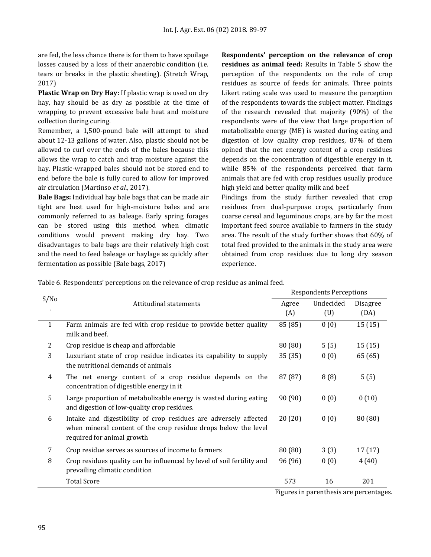are fed, the less chance there is for them to have spoilage losses caused by a loss of their anaerobic condition (i.e. tears or breaks in the plastic sheeting). (Stretch Wrap, 2017)

**Plastic Wrap on Dry Hay:** If plastic wrap is used on dry hay, hay should be as dry as possible at the time of wrapping to prevent excessive bale heat and moisture collection during curing.

Remember, a 1,500-pound bale will attempt to shed about 12-13 gallons of water. Also, plastic should not be allowed to curl over the ends of the bales because this allows the wrap to catch and trap moisture against the hay. Plastic-wrapped bales should not be stored end to end before the bale is fully cured to allow for improved air circulation (Martinso *et al.,* 2017).

**Bale Bags:** Individual hay bale bags that can be made air tight are best used for high-moisture bales and are commonly referred to as baleage. Early spring forages can be stored using this method when climatic conditions would prevent making dry hay. Two disadvantages to bale bags are their relatively high cost and the need to feed baleage or haylage as quickly after fermentation as possible (Bale bags, 2017)

**Respondents' perception on the relevance of crop residues as animal feed:** Results in Table 5 show the perception of the respondents on the role of crop residues as source of feeds for animals. Three points Likert rating scale was used to measure the perception of the respondents towards the subject matter. Findings of the research revealed that majority (90%) of the respondents were of the view that large proportion of metabolizable energy (ME) is wasted during eating and digestion of low quality crop residues, 87% of them opined that the net energy content of a crop residues depends on the concentration of digestible energy in it, while 85% of the respondents perceived that farm animals that are fed with crop residues usually produce high yield and better quality milk and beef.

Findings from the study further revealed that crop residues from dual-purpose crops, particularly from coarse cereal and leguminous crops, are by far the most important feed source available to farmers in the study area. The result of the study further shows that 60% of total feed provided to the animals in the study area were obtained from crop residues due to long dry season experience.

| rable of Respondents' perceptions on the relevance or crop residue as annifareed. |                                                                                                                                                                  |                                |           |          |
|-----------------------------------------------------------------------------------|------------------------------------------------------------------------------------------------------------------------------------------------------------------|--------------------------------|-----------|----------|
|                                                                                   |                                                                                                                                                                  | <b>Respondents Perceptions</b> |           |          |
| S/No                                                                              | Attitudinal statements                                                                                                                                           | Agree                          | Undecided | Disagree |
|                                                                                   |                                                                                                                                                                  | (A)                            | (U)       | (DA)     |
| $\mathbf{1}$                                                                      | Farm animals are fed with crop residue to provide better quality<br>milk and beef.                                                                               | 85 (85)                        | 0(0)      | 15(15)   |
| $\overline{2}$                                                                    | Crop residue is cheap and affordable                                                                                                                             | 80(80)                         | 5(5)      | 15(15)   |
| 3                                                                                 | Luxuriant state of crop residue indicates its capability to supply<br>the nutritional demands of animals                                                         | 35(35)                         | 0(0)      | 65 (65)  |
| 4                                                                                 | The net energy content of a crop residue depends on the<br>concentration of digestible energy in it                                                              | 87 (87)                        | 8(8)      | 5(5)     |
| 5                                                                                 | Large proportion of metabolizable energy is wasted during eating<br>and digestion of low-quality crop residues.                                                  | 90 (90)                        | 0(0)      | 0(10)    |
| 6                                                                                 | Intake and digestibility of crop residues are adversely affected<br>when mineral content of the crop residue drops below the level<br>required for animal growth | 20(20)                         | 0(0)      | 80 (80)  |
| 7                                                                                 | Crop residue serves as sources of income to farmers                                                                                                              | 80(80)                         | 3(3)      | 17(17)   |
| 8                                                                                 | Crop residues quality can be influenced by level of soil fertility and<br>prevailing climatic condition                                                          | 96 (96)                        | 0(0)      | 4(40)    |
|                                                                                   | <b>Total Score</b>                                                                                                                                               | 573                            | 16        | 201      |

Table 6. Respondents' perceptions on the relevance of crop residue as animal feed.

Figures in parenthesis are percentages.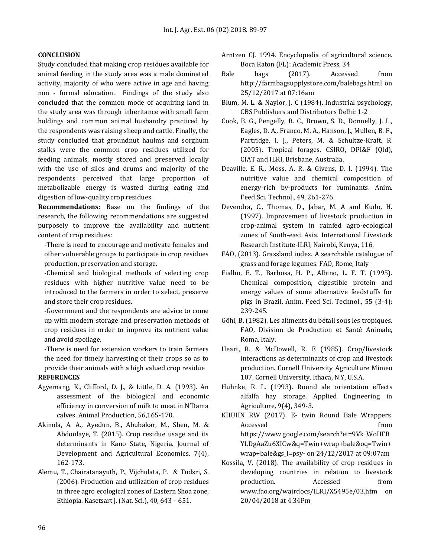#### **CONCLUSION**

Study concluded that making crop residues available for animal feeding in the study area was a male dominated activity, majority of who were active in age and having non - formal education. Findings of the study also concluded that the common mode of acquiring land in the study area was through inheritance with small farm holdings and common animal husbandry practiced by the respondents was raising sheep and cattle. Finally, the study concluded that groundnut haulms and sorghum stalks were the common crop residues utilized for feeding animals, mostly stored and preserved locally with the use of silos and drums and majority of the respondents perceived that large proportion of metabolizable energy is wasted during eating and digestion of low-quality crop residues.

**Recommendations:** Base on the findings of the research, the following recommendations are suggested purposely to improve the availability and nutrient content of crop residues:

-There is need to encourage and motivate females and other vulnerable groups to participate in crop residues production, preservation and storage.

-Chemical and biological methods of selecting crop residues with higher nutritive value need to be introduced to the farmers in order to select, preserve and store their crop residues.

-Government and the respondents are advice to come up with modern storage and preservation methods of crop residues in order to improve its nutrient value and avoid spoilage.

-There is need for extension workers to train farmers the need for timely harvesting of their crops so as to provide their animals with a high valued crop residue

### **REFERENCES**

- Agyemang, K., Clifford, D. J., & Little, D. A. (1993). An assessment of the biological and economic efficiency in conversion of milk to meat in N'Dama calves. Animal Production, 56,165-170.
- Akinola, A. A., Ayedun, B., Abubakar, M., Sheu, M. & Abdoulaye, T. (2015). Crop residue usage and its determinants in Kano State, Nigeria. Journal of Development and Agricultural Economics, 7(4), 162-173.
- Alemu, T., Chairatanayuth, P., Vijchulata, P. & Tudsri, S. (2006). Production and utilization of crop residues in three agro ecological zones of Eastern Shoa zone, Ethiopia. Kasetsart J. (Nat. Sci.), 40, 643 – 651.
- Arntzen CJ. 1994. Encyclopedia of agricultural science. Boca Raton (FL): Academic Press, 34
- Bale bags (2017). Accessed from [http://farmbagsupplystore.com/balebags.html on](http://farmbagsupplystore.com/balebags.html%20on%2025/12/2017)  [25/12/2017](http://farmbagsupplystore.com/balebags.html%20on%2025/12/2017) at 07:16am
- Blum, M. L. & Naylor, J. C (1984). Industrial psychology, CBS Publishers and Distributors Delhi: 1-2
- [Cook, B. G., Pengelly, B. C., Brown, S. D., Donnelly, J. L.,](../../../../node/1689)  [Eagles, D. A., Franco, M. A., Hanson, J., Mullen, B. F.,](../../../../node/1689)  [Partridge, I. J., Peters, M.](../../../../node/1689) & Schultze-Kraft, R. [\(2005\). Tropical forages. CSIRO, DPI&F \(Qld\),](../../../../node/1689)  CIAT and ILRI, [Brisbane, Australia.](../../../../node/1689)
- Deaville, E. R., Moss, A. R. & Givens, D. I. (1994). The nutritive value and chemical composition of energy-rich by-products for ruminants. Anim. Feed Sci. Technol., 49, 261-276.
- Devendra, C., Thomas, D., Jabar, M. A and Kudo, H. (1997). Improvement of livestock production in crop-animal system in rainfed agro-ecological zones of South-east Asia. International Livestock Research Institute-ILRI, Nairobi, Kenya, 116.
- [FAO, \(2013\). Grassland index. A searchable catalogue of](http://www.feedipedia.org/node/16434)  [grass and forage legumes. FAO, Rome, Italy](http://www.feedipedia.org/node/16434)
- Fialho, E. T., Barbosa, H. P., Albino, L. F. T. (1995). Chemical composition, digestible protein and energy values of some alternative feedstuffs for pigs in Brazil. Anim. Feed Sci. Technol., 55 (3-4): 239-245.
- Göhl, B. (1982). Les aliments du bétail sous les tropiques. FAO, Division de Production et Santé Animale, Roma, Italy.
- Heart, R. & McDowell, R. E (1985). Crop/livestock interactions as determinants of crop and livestock production. Cornell University Agriculture Mimeo 107, Cornell University, Ithaca, N.Y, U.S.A.
- Huhnke, R. L. (1993). Round ale orientation effects alfalfa hay storage. Applied Engineering in Agriculture, 9(4), 349-3.
- KHUHN RW (2017). E- twin Round Bale Wrappers. Accessed from the from the state of  $\sim$ [https://www.google.com/search?ei=9Vk\\_WoHFB](https://www.google.com/search?ei=9Vk_WoHFBYLDgAaZu6XICw&q=Twin+wrap+bale&oq=Twin+wrap+bale&gs_l=psy-) [YLDgAaZu6XICw&q=Twin+wrap+bale&oq=Twin+](https://www.google.com/search?ei=9Vk_WoHFBYLDgAaZu6XICw&q=Twin+wrap+bale&oq=Twin+wrap+bale&gs_l=psy-) [wrap+bale&gs\\_l=psy-](https://www.google.com/search?ei=9Vk_WoHFBYLDgAaZu6XICw&q=Twin+wrap+bale&oq=Twin+wrap+bale&gs_l=psy-) on 24/12/2017 at 09:07am
- Kossila, V. (2018). The availability of crop residues in developing countries in relation to livestock production. Accessed from [www.fao.org/wairdocs/ILRI/X5495e/03.htm](http://www.fao.org/wairdocs/ILRI/X5495e/03.htm%20on%2020/04/2018) on [20/04/2018](http://www.fao.org/wairdocs/ILRI/X5495e/03.htm%20on%2020/04/2018) at 4.34Pm